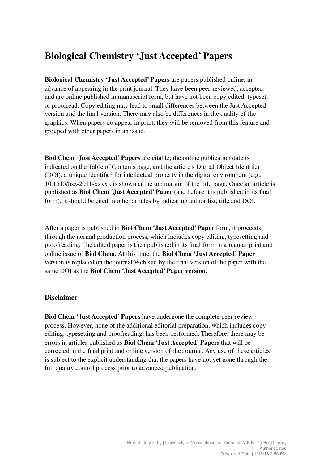## **Biological Chemistry 'Just Accepted' Papers**

**Biological Chemistry 'Just Accepted' Papers** are papers published online, in advance of appearing in the print journal. They have been peer-reviewed, accepted and are online published in manuscript form, but have not been copy edited, typeset, or proofread. Copy editing may lead to small differences between the Just Accepted version and the final version. There may also be differences in the quality of the graphics. When papers do appear in print, they will be removed from this feature and grouped with other papers in an issue.

**Biol Chem 'Just Accepted' Papers** are citable; the online publication date is indicated on the Table of Contents page, and the article's Digital Object Identifier (DOI), a unique identifier for intellectual property in the digital environment (e.g., 10.1515/hsz-2011-xxxx), is shown at the top margin of the title page. Once an article is published as **Biol Chem 'Just Accepted' Paper** (and before it is published in its final form), it should be cited in other articles by indicating author list, title and DOI.

After a paper is published in **Biol Chem 'Just Accepted' Paper** form, it proceeds through the normal production process, which includes copy editing, typesetting and proofreading. The edited paper is then published in its final form in a regular print and online issue of **Biol Chem.** At this time, the **Biol Chem 'Just Accepted' Paper**  version is replaced on the journal Web site by the final version of the paper with the same DOI as the **Biol Chem 'Just Accepted' Paper version.**

#### **Disclaimer**

**Biol Chem 'Just Accepted' Papers** have undergone the complete peer-review process. However, none of the additional editorial preparation, which includes copy editing, typesetting and proofreading, has been performed. Therefore, there may be errors in articles published as **Biol Chem 'Just Accepted' Papers** that will be corrected in the final print and online version of the Journal. Any use of these articles is subject to the explicit understanding that the papers have not yet gone through the full quality control process prior to advanced publication.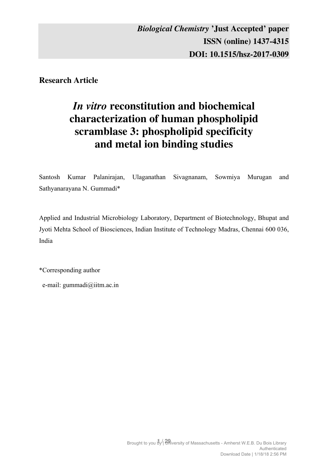## **Research Article**

# *In vitro* **reconstitution and biochemical characterization of human phospholipid scramblase 3: phospholipid specificity and metal ion binding studies**

Santosh Kumar Palanirajan, Ulaganathan Sivagnanam, Sowmiya Murugan and Sathyanarayana N. Gummadi\*

Applied and Industrial Microbiology Laboratory, Department of Biotechnology, Bhupat and Jyoti Mehta School of Biosciences, Indian Institute of Technology Madras, Chennai 600 036, India

\*Corresponding author

e-mail: gummadi@iitm.ac.in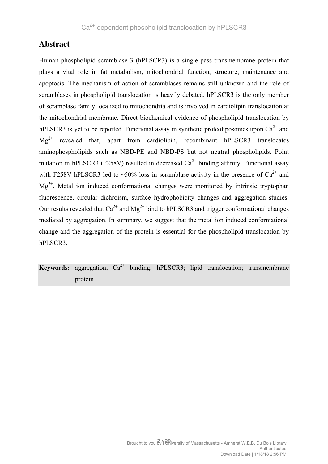## **Abstract**

Human phospholipid scramblase 3 (hPLSCR3) is a single pass transmembrane protein that plays a vital role in fat metabolism, mitochondrial function, structure, maintenance and apoptosis. The mechanism of action of scramblases remains still unknown and the role of scramblases in phospholipid translocation is heavily debated. hPLSCR3 is the only member of scramblase family localized to mitochondria and is involved in cardiolipin translocation at the mitochondrial membrane. Direct biochemical evidence of phospholipid translocation by hPLSCR3 is yet to be reported. Functional assay in synthetic proteoliposomes upon  $Ca^{2+}$  and  $Mg^{2+}$  revealed that, apart from cardiolipin, recombinant hPLSCR3 translocates aminophospholipids such as NBD-PE and NBD-PS but not neutral phospholipids. Point mutation in hPLSCR3 (F258V) resulted in decreased  $Ca^{2+}$  binding affinity. Functional assay with F258V-hPLSCR3 led to ~50% loss in scramblase activity in the presence of  $Ca^{2+}$  and  $Mg^{2+}$ . Metal ion induced conformational changes were monitored by intrinsic tryptophan fluorescence, circular dichroism, surface hydrophobicity changes and aggregation studies. Our results revealed that  $Ca^{2+}$  and  $Mg^{2+}$  bind to hPLSCR3 and trigger conformational changes mediated by aggregation. In summary, we suggest that the metal ion induced conformational change and the aggregation of the protein is essential for the phospholipid translocation by hPLSCR3.

**Keywords:** aggregation;  $Ca^{2+}$  binding; hPLSCR3; lipid translocation; transmembrane protein.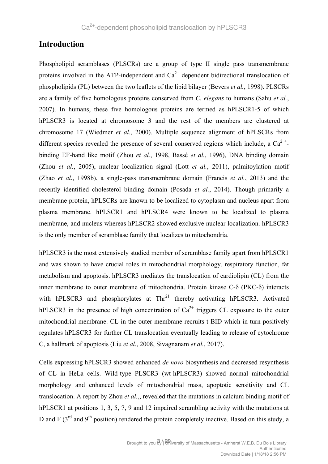## **Introduction**

Phospholipid scramblases (PLSCRs) are a group of type II single pass transmembrane proteins involved in the ATP-independent and  $Ca^{2+}$  dependent bidirectional translocation of phospholipids (PL) between the two leaflets of the lipid bilayer (Bevers *et al.*, 1998). PLSCRs are a family of five homologous proteins conserved from *C. elegans* to humans (Sahu *et al.*, 2007). In humans, these five homologous proteins are termed as hPLSCR1-5 of which hPLSCR3 is located at chromosome 3 and the rest of the members are clustered at chromosome 17 (Wiedmer *et al.*, 2000). Multiple sequence alignment of hPLSCRs from different species revealed the presence of several conserved regions which include, a  $Ca^{2+}$ binding EF-hand like motif (Zhou *et al.*, 1998, Bassé *et al.*, 1996), DNA binding domain (Zhou *et al.*, 2005), nuclear localization signal (Lott *et al.*, 2011), palmitoylation motif (Zhao *et al.*, 1998b), a single-pass transmembrane domain (Francis *et al.*, 2013) and the recently identified cholesterol binding domain (Posada *et al.*, 2014). Though primarily a membrane protein, hPLSCRs are known to be localized to cytoplasm and nucleus apart from plasma membrane. hPLSCR1 and hPLSCR4 were known to be localized to plasma membrane, and nucleus whereas hPLSCR2 showed exclusive nuclear localization. hPLSCR3 is the only member of scramblase family that localizes to mitochondria.

hPLSCR3 is the most extensively studied member of scramblase family apart from hPLSCR1 and was shown to have crucial roles in mitochondrial morphology, respiratory function, fat metabolism and apoptosis. hPLSCR3 mediates the translocation of cardiolipin (CL) from the inner membrane to outer membrane of mitochondria. Protein kinase C-δ (PKC-δ) interacts with hPLSCR3 and phosphorylates at Thr<sup>21</sup> thereby activating hPLSCR3. Activated hPLSCR3 in the presence of high concentration of  $Ca^{2+}$  triggers CL exposure to the outer mitochondrial membrane. CL in the outer membrane recruits t-BID which in-turn positively regulates hPLSCR3 for further CL translocation eventually leading to release of cytochrome C, a hallmark of apoptosis (Liu *et al.*, 2008, Sivagnanam *et al.*, 2017).

Cells expressing hPLSCR3 showed enhanced *de novo* biosynthesis and decreased resynthesis of CL in HeLa cells. Wild-type PLSCR3 (wt-hPLSCR3) showed normal mitochondrial morphology and enhanced levels of mitochondrial mass, apoptotic sensitivity and CL translocation. A report by Zhou *et al.*,, revealed that the mutations in calcium binding motif of hPLSCR1 at positions 1, 3, 5, 7, 9 and 12 impaired scrambling activity with the mutations at D and F  $(3<sup>rd</sup>$  and  $9<sup>th</sup>$  position) rendered the protein completely inactive. Based on this study, a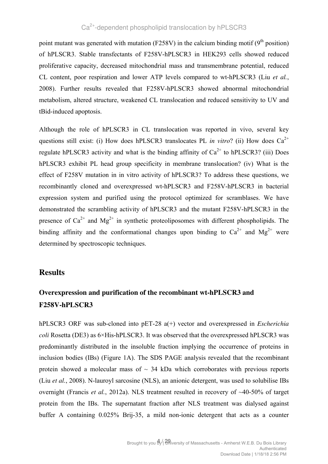## Ca<sup>2+</sup>-dependent phospholipid translocation by hPLSCR3

point mutant was generated with mutation (F258V) in the calcium binding motif ( $9<sup>th</sup>$  position) of hPLSCR3. Stable transfectants of F258V-hPLSCR3 in HEK293 cells showed reduced proliferative capacity, decreased mitochondrial mass and transmembrane potential, reduced CL content, poor respiration and lower ATP levels compared to wt-hPLSCR3 (Liu *et al.*, 2008). Further results revealed that F258V-hPLSCR3 showed abnormal mitochondrial metabolism, altered structure, weakened CL translocation and reduced sensitivity to UV and tBid-induced apoptosis.

Although the role of hPLSCR3 in CL translocation was reported in vivo, several key questions still exist: (i) How does hPLSCR3 translocates PL *in vitro*? (ii) How does  $Ca^{2+}$ regulate hPLSCR3 activity and what is the binding affinity of  $Ca^{2+}$  to hPLSCR3? (iii) Does hPLSCR3 exhibit PL head group specificity in membrane translocation? (iv) What is the effect of F258V mutation in in vitro activity of hPLSCR3? To address these questions, we recombinantly cloned and overexpressed wt-hPLSCR3 and F258V-hPLSCR3 in bacterial expression system and purified using the protocol optimized for scramblases. We have demonstrated the scrambling activity of hPLSCR3 and the mutant F258V-hPLSCR3 in the presence of  $Ca^{2+}$  and  $Mg^{2+}$  in synthetic proteoliposomes with different phospholipids. The binding affinity and the conformational changes upon binding to  $Ca^{2+}$  and  $Mg^{2+}$  were determined by spectroscopic techniques.

## **Results**

## **Overexpression and purification of the recombinant wt-hPLSCR3 and F258V-hPLSCR3**

hPLSCR3 ORF was sub-cloned into pET-28 a(+) vector and overexpressed in *Escherichia coli* Rosetta (DE3) as 6×His-hPLSCR3. It was observed that the overexpressed hPLSCR3 was predominantly distributed in the insoluble fraction implying the occurrence of proteins in inclusion bodies (IBs) (Figure 1A). The SDS PAGE analysis revealed that the recombinant protein showed a molecular mass of  $\sim$  34 kDa which corroborates with previous reports (Liu *et al.*, 2008). N-lauroyl sarcosine (NLS), an anionic detergent, was used to solubilise IBs overnight (Francis *et al.*, 2012a). NLS treatment resulted in recovery of ~40-50% of target protein from the IBs. The supernatant fraction after NLS treatment was dialysed against buffer A containing 0.025% Brij-35, a mild non-ionic detergent that acts as a counter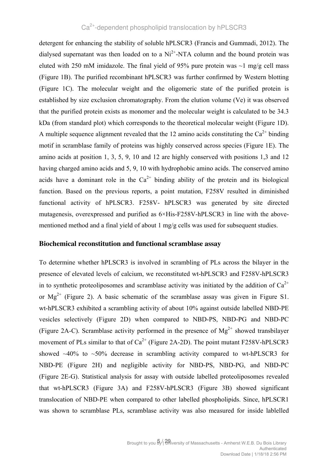## Ca<sup>2+</sup>-dependent phospholipid translocation by hPLSCR3

detergent for enhancing the stability of soluble hPLSCR3 (Francis and Gummadi, 2012). The dialysed supernatant was then loaded on to a  $Ni<sup>2+</sup>-NTA$  column and the bound protein was eluted with 250 mM imidazole. The final yield of 95% pure protein was  $\sim$ 1 mg/g cell mass (Figure 1B). The purified recombinant hPLSCR3 was further confirmed by Western blotting (Figure 1C). The molecular weight and the oligomeric state of the purified protein is established by size exclusion chromatography. From the elution volume (Ve) it was observed that the purified protein exists as monomer and the molecular weight is calculated to be 34.3 kDa (from standard plot) which corresponds to the theoretical molecular weight (Figure 1D). A multiple sequence alignment revealed that the 12 amino acids constituting the  $Ca^{2+}$  binding motif in scramblase family of proteins was highly conserved across species (Figure 1E). The amino acids at position 1, 3, 5, 9, 10 and 12 are highly conserved with positions 1,3 and 12 having charged amino acids and 5, 9, 10 with hydrophobic amino acids. The conserved amino acids have a dominant role in the  $Ca^{2+}$  binding ability of the protein and its biological function. Based on the previous reports, a point mutation, F258V resulted in diminished functional activity of hPLSCR3. F258V- hPLSCR3 was generated by site directed mutagenesis, overexpressed and purified as 6×His-F258V-hPLSCR3 in line with the abovementioned method and a final yield of about 1 mg/g cells was used for subsequent studies.

#### **Biochemical reconstitution and functional scramblase assay**

To determine whether hPLSCR3 is involved in scrambling of PLs across the bilayer in the presence of elevated levels of calcium, we reconstituted wt-hPLSCR3 and F258V-hPLSCR3 in to synthetic proteoliposomes and scramblase activity was initiated by the addition of  $Ca^{2+}$ or  $Mg^{2+}$  (Figure 2). A basic schematic of the scramblase assay was given in Figure S1. wt-hPLSCR3 exhibited a scrambling activity of about 10% against outside labelled NBD-PE vesicles selectively (Figure 2D) when compared to NBD-PS, NBD-PG and NBD-PC (Figure 2A-C). Scramblase activity performed in the presence of  $Mg^{2+}$  showed transbilayer movement of PLs similar to that of  $Ca^{2+}$  (Figure 2A-2D). The point mutant F258V-hPLSCR3 showed  $\sim$ 40% to  $\sim$ 50% decrease in scrambling activity compared to wt-hPLSCR3 for NBD-PE (Figure 2H) and negligible activity for NBD-PS, NBD-PG, and NBD-PC (Figure 2E-G). Statistical analysis for assay with outside labelled proteoliposomes revealed that wt-hPLSCR3 (Figure 3A) and F258V-hPLSCR3 (Figure 3B) showed significant translocation of NBD-PE when compared to other labelled phospholipids. Since, hPLSCR1 was shown to scramblase PLs, scramblase activity was also measured for inside lablelled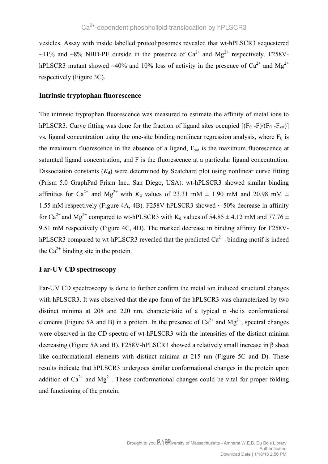vesicles. Assay with inside labelled proteoliposomes revealed that wt-hPLSCR3 sequestered ~11% and ~8% NBD-PE outside in the presence of  $Ca^{2+}$  and  $Mg^{2+}$  respectively. F258VhPLSCR3 mutant showed ~40% and 10% loss of activity in the presence of  $Ca^{2+}$  and  $Mg^{2+}$ respectively (Figure 3C).

#### **Intrinsic tryptophan fluorescence**

The intrinsic tryptophan fluorescence was measured to estimate the affinity of metal ions to hPLSCR3. Curve fitting was done for the fraction of ligand sites occupied  $[(F_0 - F)/(F_0 - F_{sat})]$ vs. ligand concentration using the one-site binding nonlinear regression analysis, where  $F_0$  is the maximum fluorescence in the absence of a ligand,  $F_{sat}$  is the maximum fluorescence at saturated ligand concentration, and F is the fluorescence at a particular ligand concentration. Dissociation constants  $(K_d)$  were determined by Scatchard plot using nonlinear curve fitting (Prism 5.0 GraphPad Prism Inc., San Diego, USA). wt-hPLSCR3 showed similar binding affinities for Ca<sup>2+</sup> and Mg<sup>2+</sup> with  $K_d$  values of 23.31 mM  $\pm$  1.90 mM and 20.98 mM  $\pm$ 1.55 mM respectively (Figure 4A, 4B). F258V-hPLSCR3 showed ~ 50% decrease in affinity for Ca<sup>2+</sup> and Mg<sup>2+</sup> compared to wt-hPLSCR3 with K<sub>d</sub> values of 54.85  $\pm$  4.12 mM and 77.76  $\pm$ 9.51 mM respectively (Figure 4C, 4D). The marked decrease in binding affinity for F258VhPLSCR3 compared to wt-hPLSCR3 revealed that the predicted  $Ca^{2+}$ -binding motif is indeed the  $Ca^{2+}$  binding site in the protein.

## **Far-UV CD spectroscopy**

Far-UV CD spectroscopy is done to further confirm the metal ion induced structural changes with hPLSCR3. It was observed that the apo form of the hPLSCR3 was characterized by two distinct minima at 208 and 220 nm, characteristic of a typical  $\alpha$  -helix conformational elements (Figure 5A and B) in a protein. In the presence of  $Ca^{2+}$  and  $Mg^{2+}$ , spectral changes were observed in the CD spectra of wt-hPLSCR3 with the intensities of the distinct minima decreasing (Figure 5A and B). F258V-hPLSCR3 showed a relatively small increase in β sheet like conformational elements with distinct minima at 215 nm (Figure 5C and D). These results indicate that hPLSCR3 undergoes similar conformational changes in the protein upon addition of  $Ca^{2+}$  and  $Mg^{2+}$ . These conformational changes could be vital for proper folding and functioning of the protein.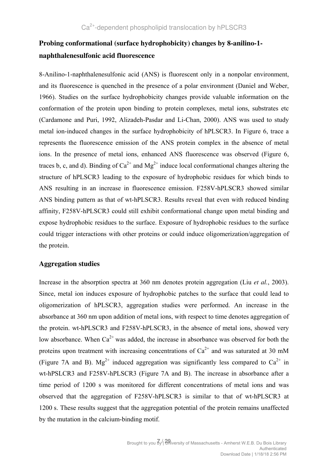## **Probing conformational (surface hydrophobicity) changes by 8-anilino-1 naphthalenesulfonic acid fluorescence**

8-Anilino-1-naphthalenesulfonic acid (ANS) is fluorescent only in a nonpolar environment, and its fluorescence is quenched in the presence of a polar environment (Daniel and Weber, 1966). Studies on the surface hydrophobicity changes provide valuable information on the conformation of the protein upon binding to protein complexes, metal ions, substrates etc (Cardamone and Puri, 1992, Alizadeh-Pasdar and Li-Chan, 2000). ANS was used to study metal ion-induced changes in the surface hydrophobicity of hPLSCR3. In Figure 6, trace a represents the fluorescence emission of the ANS protein complex in the absence of metal ions. In the presence of metal ions, enhanced ANS fluorescence was observed (Figure 6, traces b, c, and d). Binding of  $Ca^{2+}$  and  $Mg^{2+}$  induce local conformational changes altering the structure of hPLSCR3 leading to the exposure of hydrophobic residues for which binds to ANS resulting in an increase in fluorescence emission. F258V-hPLSCR3 showed similar ANS binding pattern as that of wt-hPLSCR3. Results reveal that even with reduced binding affinity, F258V-hPLSCR3 could still exhibit conformational change upon metal binding and expose hydrophobic residues to the surface. Exposure of hydrophobic residues to the surface could trigger interactions with other proteins or could induce oligomerization/aggregation of the protein.

## **Aggregation studies**

Increase in the absorption spectra at 360 nm denotes protein aggregation (Liu *et al.*, 2003). Since, metal ion induces exposure of hydrophobic patches to the surface that could lead to oligomerization of hPLSCR3, aggregation studies were performed. An increase in the absorbance at 360 nm upon addition of metal ions, with respect to time denotes aggregation of the protein. wt-hPLSCR3 and F258V-hPLSCR3, in the absence of metal ions, showed very low absorbance. When  $Ca^{2+}$  was added, the increase in absorbance was observed for both the proteins upon treatment with increasing concentrations of  $Ca^{2+}$  and was saturated at 30 mM (Figure 7A and B).  $Mg^{2+}$  induced aggregation was significantly less compared to  $Ca^{2+}$  in wt-hPSLCR3 and F258V-hPLSCR3 (Figure 7A and B). The increase in absorbance after a time period of 1200 s was monitored for different concentrations of metal ions and was observed that the aggregation of F258V-hPLSCR3 is similar to that of wt-hPLSCR3 at 1200 s. These results suggest that the aggregation potential of the protein remains unaffected by the mutation in the calcium-binding motif.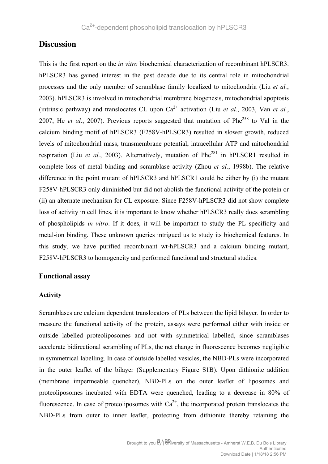## **Discussion**

This is the first report on the *in vitro* biochemical characterization of recombinant hPLSCR3. hPLSCR3 has gained interest in the past decade due to its central role in mitochondrial processes and the only member of scramblase family localized to mitochondria (Liu *et al.*, 2003). hPLSCR3 is involved in mitochondrial membrane biogenesis, mitochondrial apoptosis (intrinsic pathway) and translocates CL upon  $Ca^{2+}$  activation (Liu *et al.*, 2003, Van *et al.*, 2007, He *et al.*, 2007). Previous reports suggested that mutation of Phe<sup>258</sup> to Val in the calcium binding motif of hPLSCR3 (F258V-hPLSCR3) resulted in slower growth, reduced levels of mitochondrial mass, transmembrane potential, intracellular ATP and mitochondrial respiration (Liu *et al.*, 2003). Alternatively, mutation of Phe<sup>281</sup> in hPLSCR1 resulted in complete loss of metal binding and scramblase activity (Zhou *et al.*, 1998b). The relative difference in the point mutant of hPLSCR3 and hPLSCR1 could be either by (i) the mutant F258V-hPLSCR3 only diminished but did not abolish the functional activity of the protein or (ii) an alternate mechanism for CL exposure. Since F258V-hPLSCR3 did not show complete loss of activity in cell lines, it is important to know whether hPLSCR3 really does scrambling of phospholipids *in vitro*. If it does, it will be important to study the PL specificity and metal-ion binding. These unknown queries intrigued us to study its biochemical features. In this study, we have purified recombinant wt-hPLSCR3 and a calcium binding mutant, F258V-hPLSCR3 to homogeneity and performed functional and structural studies.

#### **Functional assay**

#### **Activity**

Scramblases are calcium dependent translocators of PLs between the lipid bilayer. In order to measure the functional activity of the protein, assays were performed either with inside or outside labelled proteoliposomes and not with symmetrical labelled, since scramblases accelerate bidirectional scrambling of PLs, the net change in fluorescence becomes negligible in symmetrical labelling. In case of outside labelled vesicles, the NBD-PLs were incorporated in the outer leaflet of the bilayer (Supplementary Figure S1B). Upon dithionite addition (membrane impermeable quencher), NBD-PLs on the outer leaflet of liposomes and proteoliposomes incubated with EDTA were quenched, leading to a decrease in 80% of fluorescence. In case of proteoliposomes with  $Ca^{2+}$ , the incorporated protein translocates the NBD-PLs from outer to inner leaflet, protecting from dithionite thereby retaining the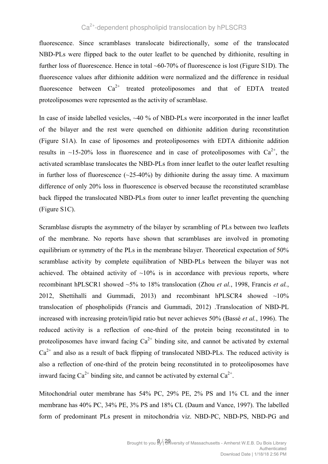## Ca2+-dependent phospholipid translocation by hPLSCR3

fluorescence. Since scramblases translocate bidirectionally, some of the translocated NBD-PLs were flipped back to the outer leaflet to be quenched by dithionite, resulting in further loss of fluorescence. Hence in total ~60-70% of fluorescence is lost (Figure S1D). The fluorescence values after dithionite addition were normalized and the difference in residual fluorescence between  $Ca^{2+}$  treated proteoliposomes and that of EDTA treated proteoliposomes were represented as the activity of scramblase.

In case of inside labelled vesicles, ~40 % of NBD-PLs were incorporated in the inner leaflet of the bilayer and the rest were quenched on dithionite addition during reconstitution (Figure S1A). In case of liposomes and proteoliposomes with EDTA dithionite addition results in  $\sim$ 15-20% loss in fluorescence and in case of proteoliposomes with Ca<sup>2+</sup>, the activated scramblase translocates the NBD-PLs from inner leaflet to the outer leaflet resulting in further loss of fluorescence  $(\sim 25-40\%)$  by dithionite during the assay time. A maximum difference of only 20% loss in fluorescence is observed because the reconstituted scramblase back flipped the translocated NBD-PLs from outer to inner leaflet preventing the quenching (Figure S1C).

Scramblase disrupts the asymmetry of the bilayer by scrambling of PLs between two leaflets of the membrane. No reports have shown that scramblases are involved in promoting equilibrium or symmetry of the PLs in the membrane bilayer. Theoretical expectation of 50% scramblase activity by complete equilibration of NBD-PLs between the bilayer was not achieved. The obtained activity of  $~10\%$  is in accordance with previous reports, where recombinant hPLSCR1 showed ~5% to 18% translocation (Zhou *et al.*, 1998, Francis *et al.*, 2012, Shettihalli and Gummadi, 2013) and recombinant hPLSCR4 showed  $\sim$ 10% translocation of phospholipids (Francis and Gummadi, 2012) .Translocation of NBD-PL increased with increasing protein/lipid ratio but never achieves 50% (Bassé *et al.*, 1996). The reduced activity is a reflection of one-third of the protein being reconstituted in to proteoliposomes have inward facing  $Ca^{2+}$  binding site, and cannot be activated by external  $Ca<sup>2+</sup>$  and also as a result of back flipping of translocated NBD-PLs. The reduced activity is also a reflection of one-third of the protein being reconstituted in to proteoliposomes have inward facing  $Ca^{2+}$  binding site, and cannot be activated by external  $Ca^{2+}$ .

Mitochondrial outer membrane has 54% PC, 29% PE, 2% PS and 1% CL and the inner membrane has 40% PC, 34% PE, 3% PS and 18% CL (Daum and Vance, 1997). The labelled form of predominant PLs present in mitochondria viz. NBD-PC, NBD-PS, NBD-PG and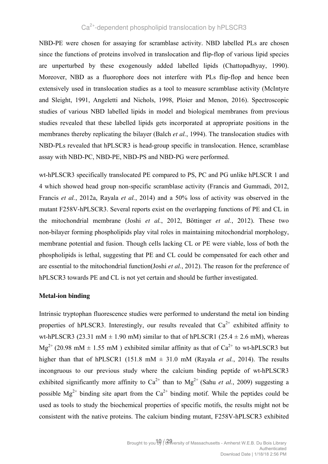## Ca<sup>2+</sup>-dependent phospholipid translocation by hPLSCR3

NBD-PE were chosen for assaying for scramblase activity. NBD labelled PLs are chosen since the functions of proteins involved in translocation and flip-flop of various lipid species are unperturbed by these exogenously added labelled lipids (Chattopadhyay, 1990). Moreover, NBD as a fluorophore does not interfere with PLs flip-flop and hence been extensively used in translocation studies as a tool to measure scramblase activity (McIntyre and Sleight, 1991, Angeletti and Nichols, 1998, Ploier and Menon, 2016). Spectroscopic studies of various NBD labelled lipids in model and biological membranes from previous studies revealed that these labelled lipids gets incorporated at appropriate positions in the membranes thereby replicating the bilayer (Balch *et al.*, 1994). The translocation studies with NBD-PLs revealed that hPLSCR3 is head-group specific in translocation. Hence, scramblase assay with NBD-PC, NBD-PE, NBD-PS and NBD-PG were performed.

wt-hPLSCR3 specifically translocated PE compared to PS, PC and PG unlike hPLSCR 1 and 4 which showed head group non-specific scramblase activity (Francis and Gummadi, 2012, Francis *et al.*, 2012a, Rayala *et al.*, 2014) and a 50% loss of activity was observed in the mutant F258V-hPLSCR3. Several reports exist on the overlapping functions of PE and CL in the mitochondrial membrane (Joshi *et al.*, 2012, Böttinger *et al.*, 2012). These two non-bilayer forming phospholipids play vital roles in maintaining mitochondrial morphology, membrane potential and fusion. Though cells lacking CL or PE were viable, loss of both the phospholipids is lethal, suggesting that PE and CL could be compensated for each other and are essential to the mitochondrial function(Joshi *et al.*, 2012). The reason for the preference of hPLSCR3 towards PE and CL is not yet certain and should be further investigated.

#### **Metal-ion binding**

Intrinsic tryptophan fluorescence studies were performed to understand the metal ion binding properties of hPLSCR3. Interestingly, our results revealed that  $Ca^{2+}$  exhibited affinity to wt-hPLSCR3 (23.31 mM  $\pm$  1.90 mM) similar to that of hPLSCR1 (25.4  $\pm$  2.6 mM), whereas  $\text{Me}^{2+}$  (20.98 mM  $\pm$  1.55 mM) exhibited similar affinity as that of Ca<sup>2+</sup> to wt-hPLSCR3 but higher than that of hPLSCR1 (151.8 mM  $\pm$  31.0 mM (Rayala *et al.*, 2014). The results incongruous to our previous study where the calcium binding peptide of wt-hPLSCR3 exhibited significantly more affinity to  $Ca^{2+}$  than to  $Mg^{2+}$  (Sahu *et al.*, 2009) suggesting a possible  $Mg^{2+}$  binding site apart from the  $Ca^{2+}$  binding motif. While the peptides could be used as tools to study the biochemical properties of specific motifs, the results might not be consistent with the native proteins. The calcium binding mutant, F258V-hPLSCR3 exhibited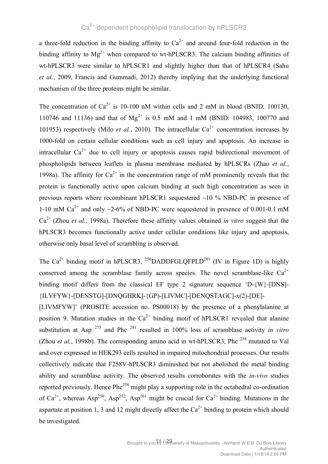a three-fold reduction in the binding affinity to  $Ca^{2+}$  and around four-fold reduction in the binding affinity to  $Mg^{2+}$  when compared to wt-hPLSCR3. The calcium binding affinities of wt-hPLSCR3 were similar to hPLSCR1 and slightly higher than that of hPLSCR4 (Sahu *et al.*, 2009, Francis and Gummadi, 2012) thereby implying that the underlying functional mechanism of the three proteins might be similar.

The concentration of  $Ca^{2+}$  is 10-100 nM within cells and 2 mM in blood (BNID: 100130, 110746 and 11136) and that of  $Mg^{2+}$  is 0.5 mM and 1 mM (BNID: 104983, 100770 and 101953) respectively (Milo *et al.*, 2010). The intracellular  $Ca^{2+}$  concentration increases by 1000-fold on certain cellular conditions such as cell injury and apoptosis. An increase in intracellular  $Ca^{2+}$  due to cell injury or apoptosis causes rapid bidirectional movement of phospholipids between leaflets in plasma membrane mediated by hPLSCRs (Zhao *et al.*, 1998a). The affinity for  $Ca^{2+}$  in the concentration range of mM prominently reveals that the protein is functionally active upon calcium binding at such high concentration as seen in previous reports where recombinant hPLSCR1 sequestered ~10 % NBD-PC in presence of 1-10 mM  $Ca^{2+}$  and only  $\approx$ 2-6% of NBD-PC were sequestered in presence of 0.001-0.1 mM Ca2+ (Zhou *et al.*, 1998a). Therefore these affinity values obtained *in vitro* suggest that the hPLSCR3 becomes functionally active under cellular conditions like injury and apoptosis, otherwise only basal level of scrambling is observed.

The  $Ca^{2+}$  binding motif in hPLSCR3, <sup>250</sup>DADDFGLQFPLD<sup>261</sup> (IV in Figure 1D) is highly conserved among the scramblase family across species. The novel scramblase-like  $Ca^{2+}$ binding motif differs from the classical EF type 2 signature sequence 'D-{W}-[DNS]- {ILVFYW}-[DENSTG]-[DNQGHRK]-{GP)-[LIVMC]-[DENQSTAGC]-x(2)-[DE]-

[LIVMFYW]' (PROSITE accession no. PS00018) by the presence of a phenylalanine at position 9. Mutation studies in the  $Ca^{2+}$  binding motif of hPLSCR1 revealed that alanine substitution at Asp <sup>275</sup> and Phe <sup>281</sup> resulted in 100% loss of scramblase activity *in vitro*  (Zhou *et al.*, 1998b). The corresponding amino acid in wt-hPLSCR3, Phe<sup>258</sup> mutated to Val and over expressed in HEK293 cells resulted in impaired mitochondrial processes. Our results collectively indicate that F258V-hPLSCR3 diminished but not abolished the metal binding ability and scramblase activity. The observed results corroborates with the *in-vivo* studies reported previously. Hence Phe<sup>258</sup> might play a supporting role in the octahedral co-ordination of  $Ca^{2+}$ , whereas Asp<sup>250</sup>, Asp<sup>252</sup>, Asp<sup>261</sup> might be crucial for  $Ca^{2+}$  binding. Mutations in the aspartate at position 1, 3 and 12 might directly affect the  $Ca^{2+}$  binding to protein which should be investigated.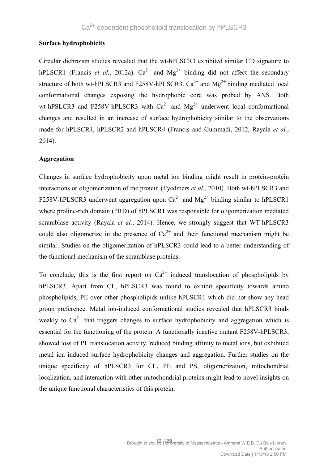## **Surface hydrophobicity**

Circular dichroism studies revealed that the wt-hPLSCR3 exhibited similar CD signature to hPLSCR1 (Francis *et al.*, 2012a).  $Ca^{2+}$  and  $Mg^{2+}$  binding did not affect the secondary structure of both wt-hPLSCR3 and F258V-hPLSCR3.  $Ca^{2+}$  and  $Mg^{2+}$  binding mediated local conformational changes exposing the hydrophobic core was probed by ANS. Both wt-hPSLCR3 and F258V-hPLSCR3 with  $Ca^{2+}$  and  $Mg^{2+}$  underwent local conformational changes and resulted in an increase of surface hydrophobicity similar to the observations made for hPLSCR1, hPLSCR2 and hPLSCR4 (Francis and Gummadi, 2012, Rayala *et al.*, 2014).

## **Aggregation**

Changes in surface hydrophobicity upon metal ion binding might result in protein-protein interactions or oligomerization of the protein (Tyedmers *et al.*, 2010). Both wt-hPLSCR3 and F258V-hPLSCR3 underwent aggregation upon  $Ca^{2+}$  and  $Mg^{2+}$  binding similar to hPLSCR1 where proline-rich domain (PRD) of hPLSCR1 was responsible for oligomerization mediated scramblase activity (Rayala *et al.*, 2014). Hence, we strongly suggest that WT-hPLSCR3 could also oligomerize in the presence of  $Ca^{2+}$  and their functional mechanism might be similar. Studies on the oligomerization of hPLSCR3 could lead to a better understanding of the functional mechanism of the scramblase proteins.

To conclude, this is the first report on  $Ca^{2+}$  induced translocation of phospholipids by hPLSCR3. Apart from CL, hPLSCR3 was found to exhibit specificity towards amino phospholipids, PE over other phospholipids unlike hPLSCR1 which did not show any head group preference. Metal ion-induced conformational studies revealed that hPLSCR3 binds weakly to  $Ca^{2+}$  that triggers changes to surface hydrophobicity and aggregation which is essential for the functioning of the protein. A functionally inactive mutant F258V-hPLSCR3, showed loss of PL translocation activity, reduced binding affinity to metal ions, but exhibited metal ion induced surface hydrophobicity changes and aggregation. Further studies on the unique specificity of hPLSCR3 for CL, PE and PS, oligomerization, mitochondrial localization, and interaction with other mitochondrial proteins might lead to novel insights on the unique functional characteristics of this protein.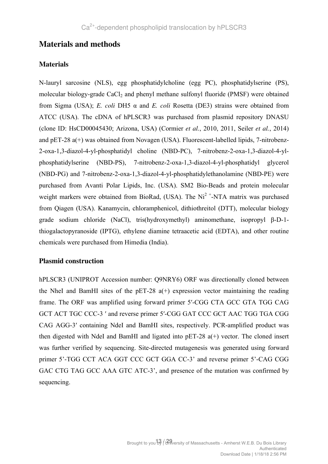## **Materials and methods**

## **Materials**

N-lauryl sarcosine (NLS), egg phosphatidylcholine (egg PC), phosphatidylserine (PS), molecular biology-grade CaCl<sub>2</sub> and phenyl methane sulfonyl fluoride (PMSF) were obtained from Sigma (USA); *E. coli* DH5 α and *E. coli* Rosetta (DE3) strains were obtained from ATCC (USA). The cDNA of hPLSCR3 was purchased from plasmid repository DNASU (clone ID: HsCD00045430; Arizona, USA) (Cormier *et al.*, 2010, 2011, Seiler *et al.*, 2014) and pET-28 a(+) was obtained from Novagen (USA). Fluorescent-labelled lipids, 7-nitrobenz-2-oxa-1,3-diazol-4-yl-phosphatidyl choline (NBD-PC), 7-nitrobenz-2-oxa-1,3-diazol-4-ylphosphatidylserine (NBD-PS), 7-nitrobenz-2-oxa-1,3-diazol-4-yl-phosphatidyl glycerol (NBD-PG) and 7-nitrobenz-2-oxa-1,3-diazol-4-yl-phosphatidylethanolamine (NBD-PE) were purchased from Avanti Polar Lipids, Inc. (USA). SM2 Bio-Beads and protein molecular weight markers were obtained from BioRad,  $(USA)$ . The Ni<sup>2+</sup>-NTA matrix was purchased from Qiagen (USA). Kanamycin, chloramphenicol, dithiothreitol (DTT), molecular biology grade sodium chloride (NaCl), tris(hydroxymethyl) aminomethane, isopropyl β-D-1 thiogalactopyranoside (IPTG), ethylene diamine tetraacetic acid (EDTA), and other routine chemicals were purchased from Himedia (India).

## **Plasmid construction**

hPLSCR3 (UNIPROT Accession number: Q9NRY6) ORF was directionally cloned between the NheI and BamHI sites of the  $pET-28$  a(+) expression vector maintaining the reading frame. The ORF was amplified using forward primer 5′-CGG CTA GCC GTA TGG CAG GCT ACT TGC CCC-3 ′ and reverse primer 5′-CGG GAT CCC GCT AAC TGG TGA CGG CAG AGG-3′ containing NdeI and BamHI sites, respectively. PCR-amplified product was then digested with NdeI and BamHI and ligated into  $pET-28$  a(+) vector. The cloned insert was further verified by sequencing. Site-directed mutagenesis was generated using forward primer 5'-TGG CCT ACA GGT CCC GCT GGA CC-3' and reverse primer 5'-CAG CGG GAC CTG TAG GCC AAA GTC ATC-3', and presence of the mutation was confirmed by sequencing.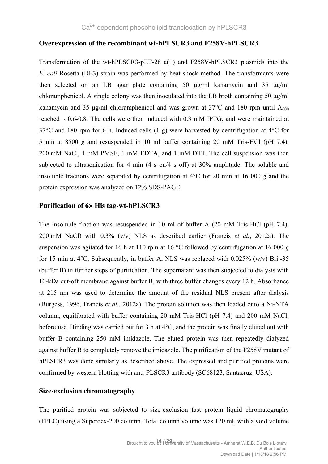#### **Overexpression of the recombinant wt-hPLSCR3 and F258V-hPLSCR3**

Transformation of the wt-hPLSCR3-pET-28 a(+) and F258V-hPLSCR3 plasmids into the *E. coli* Rosetta (DE3) strain was performed by heat shock method. The transformants were then selected on an LB agar plate containing 50 μg/ml kanamycin and 35 μg/ml chloramphenicol. A single colony was then inoculated into the LB broth containing 50 μg/ml kanamycin and 35 μg/ml chloramphenicol and was grown at 37 $\degree$ C and 180 rpm until A<sub>600</sub> reached  $\sim$  0.6-0.8. The cells were then induced with 0.3 mM IPTG, and were maintained at 37°C and 180 rpm for 6 h. Induced cells (1 g) were harvested by centrifugation at 4°C for 5 min at 8500 *g* and resuspended in 10 ml buffer containing 20 mM Tris-HCl (pH 7.4), 200 mM NaCl, 1 mM PMSF, 1 mM EDTA, and 1 mM DTT. The cell suspension was then subjected to ultrasonication for 4 min (4 s on/4 s off) at 30% amplitude. The soluble and insoluble fractions were separated by centrifugation at 4°C for 20 min at 16 000 *g* and the protein expression was analyzed on 12% SDS-PAGE.

#### **Purification of 6× His tag-wt-hPLSCR3**

The insoluble fraction was resuspended in 10 ml of buffer A (20 mM Tris-HCl (pH 7.4), 200 mM NaCl) with 0.3% (v/v) NLS as described earlier (Francis *et al.*, 2012a). The suspension was agitated for 16 h at 110 rpm at 16 °C followed by centrifugation at 16 000 *g*  for 15 min at 4 $\degree$ C. Subsequently, in buffer A, NLS was replaced with 0.025 $\%$  (w/v) Brij-35 (buffer B) in further steps of purification. The supernatant was then subjected to dialysis with 10-kDa cut-off membrane against buffer B, with three buffer changes every 12 h. Absorbance at 215 nm was used to determine the amount of the residual NLS present after dialysis (Burgess, 1996, Francis *et al.*, 2012a). The protein solution was then loaded onto a Ni-NTA column, equilibrated with buffer containing 20 mM Tris-HCl (pH 7.4) and 200 mM NaCl, before use. Binding was carried out for 3 h at 4°C, and the protein was finally eluted out with buffer B containing 250 mM imidazole. The eluted protein was then repeatedly dialyzed against buffer B to completely remove the imidazole. The purification of the F258V mutant of hPLSCR3 was done similarly as described above. The expressed and purified proteins were confirmed by western blotting with anti-PLSCR3 antibody (SC68123, Santacruz, USA).

#### **Size-exclusion chromatography**

The purified protein was subjected to size-exclusion fast protein liquid chromatography (FPLC) using a Superdex-200 column. Total column volume was 120 ml, with a void volume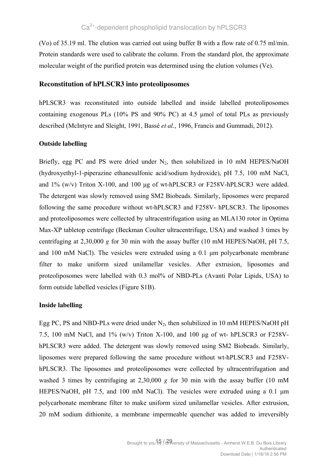(Vo) of 35.19 ml. The elution was carried out using buffer B with a flow rate of 0.75 ml/min. Protein standards were used to calibrate the column. From the standard plot, the approximate molecular weight of the purified protein was determined using the elution volumes (Ve).

#### **Reconstitution of hPLSCR3 into proteoliposomes**

hPLSCR3 was reconstituted into outside labelled and inside labelled proteoliposomes containing exogenous PLs (10% PS and 90% PC) at 4.5 μmol of total PLs as previously described (McIntyre and Sleight, 1991, Bassé *et al.*, 1996, Francis and Gummadi, 2012).

#### **Outside labelling**

Briefly, egg PC and PS were dried under  $N_2$ , then solubilized in 10 mM HEPES/NaOH (hydroxyethyl-1-piperazine ethanesulfonic acid/sodium hydroxide), pH 7.5, 100 mM NaCl, and 1% (w/v) Triton X-100, and 100 μg of wt-hPLSCR3 or F258V-hPLSCR3 were added. The detergent was slowly removed using SM2 Biobeads. Similarly, liposomes were prepared following the same procedure without wt-hPLSCR3 and F258V- hPLSCR3. The liposomes and proteoliposomes were collected by ultracentrifugation using an MLA130 rotor in Optima Max-XP tabletop centrifuge (Beckman Coulter ultracentrifuge, USA) and washed 3 times by centrifuging at 2,30,000 *g* for 30 min with the assay buffer (10 mM HEPES/NaOH, pH 7.5, and 100 mM NaCl). The vesicles were extruded using a 0.1 μm polycarbonate membrane filter to make uniform sized unilamellar vesicles. After extrusion, liposomes and proteoliposomes were labelled with 0.3 mol% of NBD-PLs (Avanti Polar Lipids, USA) to form outside labelled vesicles (Figure S1B).

#### **Inside labelling**

Egg PC, PS and NBD-PLs were dried under  $N_2$ , then solubilized in 10 mM HEPES/NaOH pH 7.5, 100 mM NaCl, and 1% (w/v) Triton X-100, and 100 μg of wt- hPLSCR3 or F258VhPLSCR3 were added. The detergent was slowly removed using SM2 Biobeads. Similarly, liposomes were prepared following the same procedure without wt-hPLSCR3 and F258VhPLSCR3. The liposomes and proteoliposomes were collected by ultracentrifugation and washed 3 times by centrifuging at 2,30,000 *g* for 30 min with the assay buffer (10 mM HEPES/NaOH, pH 7.5, and 100 mM NaCl). The vesicles were extruded using a 0.1 μm polycarbonate membrane filter to make uniform sized unilamellar vesicles. After extrusion, 20 mM sodium dithionite, a membrane impermeable quencher was added to irreversibly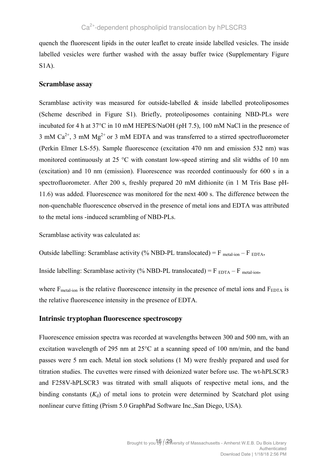quench the fluorescent lipids in the outer leaflet to create inside labelled vesicles. The inside labelled vesicles were further washed with the assay buffer twice (Supplementary Figure S1A).

## **Scramblase assay**

Scramblase activity was measured for outside-labelled  $\&$  inside labelled proteoliposomes (Scheme described in Figure S1). Briefly, proteoliposomes containing NBD-PLs were incubated for 4 h at 37°C in 10 mM HEPES/NaOH (pH 7.5), 100 mM NaCl in the presence of 3 mM  $Ca^{2+}$ , 3 mM  $Me^{2+}$  or 3 mM EDTA and was transferred to a stirred spectrofluorometer (Perkin Elmer LS-55). Sample fluorescence (excitation 470 nm and emission 532 nm) was monitored continuously at 25 °C with constant low-speed stirring and slit widths of 10 nm (excitation) and 10 nm (emission). Fluorescence was recorded continuously for 600 s in a spectrofluorometer. After 200 s, freshly prepared 20 mM dithionite (in 1 M Tris Base pH-11.6) was added. Fluorescence was monitored for the next 400 s. The difference between the non-quenchable fluorescence observed in the presence of metal ions and EDTA was attributed to the metal ions -induced scrambling of NBD-PLs.

Scramblase activity was calculated as:

Outside labelling: Scramblase activity (% NBD-PL translocated) =  $F_{metal-ion} - F_{EDTA}$ ,

Inside labelling: Scramblase activity (% NBD-PL translocated) =  $F_{EDTA} - F_{metal-ion}$ ,

where  $F_{\text{metal-ion}}$  is the relative fluorescence intensity in the presence of metal ions and  $F_{\text{EDTA}}$  is the relative fluorescence intensity in the presence of EDTA.

## **Intrinsic tryptophan fluorescence spectroscopy**

Fluorescence emission spectra was recorded at wavelengths between 300 and 500 nm, with an excitation wavelength of 295 nm at 25°C at a scanning speed of 100 nm/min, and the band passes were 5 nm each. Metal ion stock solutions (1 M) were freshly prepared and used for titration studies. The cuvettes were rinsed with deionized water before use. The wt-hPLSCR3 and F258V-hPLSCR3 was titrated with small aliquots of respective metal ions, and the binding constants  $(K_d)$  of metal ions to protein were determined by Scatchard plot using nonlinear curve fitting (Prism 5.0 GraphPad Software Inc.,San Diego, USA).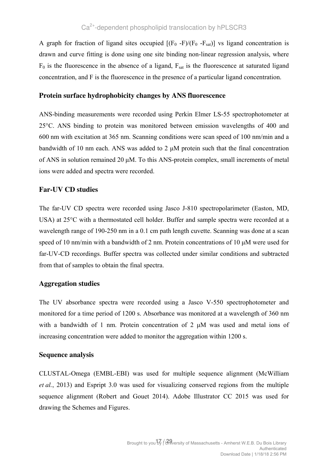A graph for fraction of ligand sites occupied  $[(F_0 -F)/(F_0 -F_{sat})]$  vs ligand concentration is drawn and curve fitting is done using one site binding non-linear regression analysis, where  $F_0$  is the fluorescence in the absence of a ligand,  $F_{sat}$  is the fluorescence at saturated ligand concentration, and F is the fluorescence in the presence of a particular ligand concentration.

#### **Protein surface hydrophobicity changes by ANS fluorescence**

ANS-binding measurements were recorded using Perkin Elmer LS-55 spectrophotometer at 25°C. ANS binding to protein was monitored between emission wavelengths of 400 and 600 nm with excitation at 365 nm. Scanning conditions were scan speed of 100 nm/min and a bandwidth of 10 nm each. ANS was added to 2 μM protein such that the final concentration of ANS in solution remained 20 μM. To this ANS-protein complex, small increments of metal ions were added and spectra were recorded.

## **Far-UV CD studies**

The far-UV CD spectra were recorded using Jasco J-810 spectropolarimeter (Easton, MD, USA) at 25°C with a thermostated cell holder. Buffer and sample spectra were recorded at a wavelength range of 190-250 nm in a 0.1 cm path length cuvette. Scanning was done at a scan speed of 10 nm/min with a bandwidth of 2 nm. Protein concentrations of 10 μM were used for far-UV-CD recordings. Buffer spectra was collected under similar conditions and subtracted from that of samples to obtain the final spectra.

## **Aggregation studies**

The UV absorbance spectra were recorded using a Jasco V-550 spectrophotometer and monitored for a time period of 1200 s. Absorbance was monitored at a wavelength of 360 nm with a bandwidth of 1 nm. Protein concentration of 2 μM was used and metal ions of increasing concentration were added to monitor the aggregation within 1200 s.

## **Sequence analysis**

CLUSTAL-Omega (EMBL-EBI) was used for multiple sequence alignment (McWilliam *et al.*, 2013) and Espript 3.0 was used for visualizing conserved regions from the multiple sequence alignment (Robert and Gouet 2014). Adobe Illustrator CC 2015 was used for drawing the Schemes and Figures.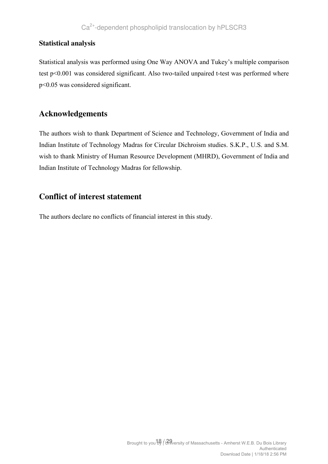## **Statistical analysis**

Statistical analysis was performed using One Way ANOVA and Tukey's multiple comparison test p<0.001 was considered significant. Also two-tailed unpaired t-test was performed where p<0.05 was considered significant.

## **Acknowledgements**

The authors wish to thank Department of Science and Technology, Government of India and Indian Institute of Technology Madras for Circular Dichroism studies. S.K.P., U.S. and S.M. wish to thank Ministry of Human Resource Development (MHRD), Government of India and Indian Institute of Technology Madras for fellowship.

## **Conflict of interest statement**

The authors declare no conflicts of financial interest in this study.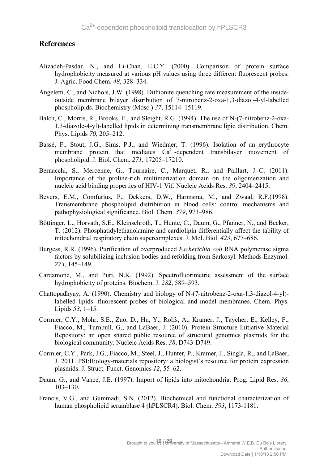## **References**

- Alizadeh-Pasdar, N., and Li-Chan, E.C.Y. (2000). Comparison of protein surface hydrophobicity measured at various pH values using three different fluorescent probes. J. Agric. Food Chem. *48*, 328–334.
- Angeletti, C., and Nichols, J.W. (1998). Dithionite quenching rate measurement of the insideoutside membrane bilayer distribution of 7-nitrobenz-2-oxa-1,3-diazol-4-yl-labelled phospholipids. Biochemistry (Mosc.) *37*, 15114–15119.
- Balch, C., Morris, R., Brooks, E., and Sleight, R.G. (1994). The use of N-(7-nitrobenz-2-oxa-1,3-diazole-4-yl)-labelled lipids in determining transmembrane lipid distribution. Chem. Phys. Lipids *70*, 205–212.
- Bassé, F., Stout, J.G., Sims, P.J., and Wiedmer, T. (1996). Isolation of an erythrocyte membrane protein that mediates  $Ca<sup>2+</sup>$ -dependent transbilayer movement of phospholipid. J. Biol. Chem. *271*, 17205–17210.
- Bernacchi, S., Mercenne, G., Tournaire, C., Marquet, R., and Paillart, J.-C. (2011). Importance of the proline-rich multimerization domain on the oligomerization and nucleic acid binding properties of HIV-1 Vif. Nucleic Acids Res. *39*, 2404–2415.
- Bevers, E.M., Comfurius, P., Dekkers, D.W., Harmsma, M., and Zwaal, R.F.(1998). Transmembrane phospholipid distribution in blood cells: control mechanisms and pathophysiological significance. Biol. Chem. *379*, 973–986.
- Böttinger, L., Horvath, S.E., Kleinschroth, T., Hunte, C., Daum, G., Pfanner, N., and Becker, T. (2012). Phosphatidylethanolamine and cardiolipin differentially affect the tability of mitochondrial respiratory chain supercomplexes. J. Mol. Biol. *423*, 677–686.
- Burgess, R.R. (1996). Purification of overproduced *Escherichia coli* RNA polymerase sigma factors by solubilizing inclusion bodies and refolding from Sarkosyl. Methods Enzymol. *273*, 145–149.
- Cardamone, M., and Puri, N.K. (1992). Spectrofluorimetric assessment of the surface hydrophobicity of proteins. Biochem. J. *282*, 589–593.
- Chattopadhyay, A. (1990). Chemistry and biology of N-(7-nitrobenz-2-oxa-1,3-diazol-4-yl) labelled lipids: fluorescent probes of biological and model membranes. Chem. Phys. Lipids *53*, 1–15.
- Cormier, C.Y., Mohr, S.E., Zuo, D., Hu, Y., Rolfs, A., Kramer, J., Taycher, E., Kelley, F., Fiacco, M., Turnbull, G., and LaBaer, J. (2010). Protein Structure Initiative Material Repository: an open shared public resource of structural genomics plasmids for the biological community. Nucleic Acids Res. *38*, D743-D749.
- Cormier, C.Y., Park, J.G., Fiacco, M., Steel, J., Hunter, P., Kramer, J., Singla, R., and LaBaer, J. 2011. PSI:Biology-materials repository: a biologist's resource for protein expression plasmids. J. Struct. Funct. Genomics *12*, 55–62.
- Daum, G., and Vance, J.E. (1997). Import of lipids into mitochondria. Prog. Lipid Res. *36*, 103–130.
- Francis, V.G., and Gummadi, S.N. (2012). Biochemical and functional characterization of human phospholipid scramblase 4 (hPLSCR4). Biol. Chem. *393*, 1173-1181.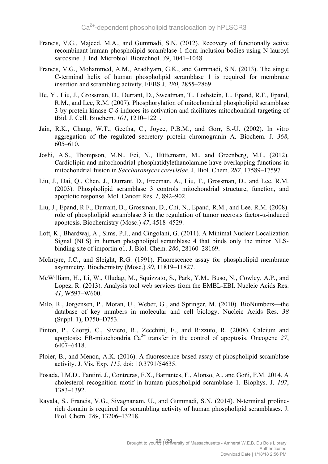- Francis, V.G., Majeed, M.A., and Gummadi, S.N. (2012). Recovery of functionally active recombinant human phospholipid scramblase 1 from inclusion bodies using N-lauroyl sarcosine. J. Ind. Microbiol. Biotechnol. *39*, 1041–1048.
- Francis, V.G., Mohammed, A.M., Aradhyam, G.K., and Gummadi, S.N. (2013). The single C-terminal helix of human phospholipid scramblase 1 is required for membrane insertion and scrambling activity. FEBS J. *280*, 2855–2869.
- He, Y., Liu, J., Grossman, D., Durrant, D., Sweatman, T., Lothstein, L., Epand, R.F., Epand, R.M., and Lee, R.M. (2007). Phosphorylation of mitochondrial phospholipid scramblase 3 by protein kinase C-δ induces its activation and facilitates mitochondrial targeting of tBid. J. Cell. Biochem. *101*, 1210–1221.
- Jain, R.K., Chang, W.T., Geetha, C., Joyce, P.B.M., and Gorr, S.-U. (2002). In vitro aggregation of the regulated secretory protein chromogranin A. Biochem. J. *368*, 605–610.
- Joshi, A.S., Thompson, M.N., Fei, N., Hüttemann, M., and Greenberg, M.L. (2012). Cardiolipin and mitochondrial phosphatidylethanolamine have overlapping functions in mitochondrial fusion in *Saccharomyces cerevisiae*. J. Biol. Chem. *287*, 17589–17597.
- Liu, J., Dai, Q., Chen, J., Durrant, D., Freeman, A., Liu, T., Grossman, D., and Lee, R.M. (2003). Phospholipid scramblase 3 controls mitochondrial structure, function, and apoptotic response. Mol. Cancer Res. *1*, 892–902.
- Liu, J., Epand, R.F., Durrant, D., Grossman, D., Chi, N., Epand, R.M., and Lee, R.M. (2008). role of phospholipid scramblase 3 in the regulation of tumor necrosis factor-α-induced apoptosis. Biochemistry (Mosc.) *47*, 4518–4529.
- Lott, K., Bhardwaj, A., Sims, P.J., and Cingolani, G. (2011). A Minimal Nuclear Localization Signal (NLS) in human phospholipid scramblase 4 that binds only the minor NLSbinding site of importin α1. J. Biol. Chem. *286*, 28160–28169.
- McIntyre, J.C., and Sleight, R.G. (1991). Fluorescence assay for phospholipid membrane asymmetry. Biochemistry (Mosc.) *30*, 11819–11827.
- McWilliam, H., Li, W., Uludag, M., Squizzato, S., Park, Y.M., Buso, N., Cowley, A.P., and Lopez, R. (2013). Analysis tool web services from the EMBL-EBI. Nucleic Acids Res. *41*, W597–W600.
- Milo, R., Jorgensen, P., Moran, U., Weber, G., and Springer, M. (2010). BioNumbers—the database of key numbers in molecular and cell biology. Nucleic Acids Res. *38* (Suppl. 1), D750–D753.
- Pinton, P., Giorgi, C., Siviero, R., Zecchini, E., and Rizzuto, R. (2008). Calcium and apoptosis: ER-mitochondria  $Ca^{2+}$  transfer in the control of apoptosis. Oncogene 27, 6407–6418.
- Ploier, B., and Menon, A.K. (2016). A fluorescence-based assay of phospholipid scramblase activity. J. Vis. Exp. *115*, doi: 10.3791/54635.
- Posada, I.M.D., Fantini, J., Contreras, F.X., Barrantes, F., Alonso, A., and Goñi, F.M. 2014. A cholesterol recognition motif in human phospholipid scramblase 1. Biophys. J. *107*, 1383–1392.
- Rayala, S., Francis, V.G., Sivagnanam, U., and Gummadi, S.N. (2014). N-terminal prolinerich domain is required for scrambling activity of human phospholipid scramblases. J. Biol. Chem. *289*, 13206–13218.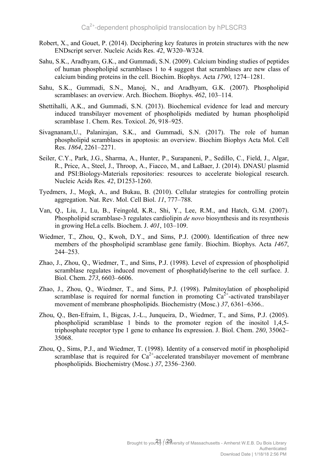- Robert, X., and Gouet, P. (2014). Deciphering key features in protein structures with the new ENDscript server. Nucleic Acids Res. *42*, W320–W324.
- Sahu, S.K., Aradhyam, G.K., and Gummadi, S.N. (2009). Calcium binding studies of peptides of human phospholipid scramblases 1 to 4 suggest that scramblases are new class of calcium binding proteins in the cell. Biochim. Biophys. Acta *1790*, 1274–1281.
- Sahu, S.K., Gummadi, S.N., Manoj, N., and Aradhyam, G.K. (2007). Phospholipid scramblases: an overview. Arch. Biochem. Biophys. *462*, 103–114.
- Shettihalli, A.K., and Gummadi, S.N. (2013). Biochemical evidence for lead and mercury induced transbilayer movement of phospholipids mediated by human phospholipid scramblase 1. Chem. Res. Toxicol. *26*, 918–925.
- Sivagnanam,U., Palanirajan, S.K., and Gummadi, S.N. (2017). The role of human phospholipid scramblases in apoptosis: an overview. Biochim Biophys Acta Mol. Cell Res. *1864*, 2261–2271.
- Seiler, C.Y., Park, J.G., Sharma, A., Hunter, P., Surapaneni, P., Sedillo, C., Field, J., Algar, R., Price, A., Steel, J., Throop, A., Fiacco, M., and LaBaer, J. (2014). DNASU plasmid and PSI:Biology-Materials repositories: resources to accelerate biological research. Nucleic Acids Res. *42*, D1253-1260.
- Tyedmers, J., Mogk, A., and Bukau, B. (2010). Cellular strategies for controlling protein aggregation. Nat. Rev. Mol. Cell Biol. *11*, 777–788.
- Van, Q., Liu, J., Lu, B., Feingold, K.R., Shi, Y., Lee, R.M., and Hatch, G.M. (2007). Phospholipid scramblase-3 regulates cardiolipin *de novo* biosynthesis and its resynthesis in growing HeLa cells. Biochem. J. *401*, 103–109.
- Wiedmer, T., Zhou, Q., Kwoh, D.Y., and Sims, P.J. (2000). Identification of three new members of the phospholipid scramblase gene family. Biochim. Biophys. Acta *1467*, 244–253.
- Zhao, J., Zhou, Q., Wiedmer, T., and Sims, P.J. (1998). Level of expression of phospholipid scramblase regulates induced movement of phosphatidylserine to the cell surface. J. Biol. Chem. *273*, 6603–6606.
- Zhao, J., Zhou, Q., Wiedmer, T., and Sims, P.J. (1998). Palmitoylation of phospholipid scramblase is required for normal function in promoting  $Ca^{2+}$ -activated transbilayer movement of membrane phospholipids. Biochemistry (Mosc.) *37*, 6361–6366..
- Zhou, Q., Ben-Efraim, I., Bigcas, J.-L., Junqueira, D., Wiedmer, T., and Sims, P.J. (2005). phospholipid scramblase 1 binds to the promoter region of the inositol 1,4,5 triphosphate receptor type 1 gene to enhance Its expression. J. Biol. Chem. *280*, 35062– 35068.
- Zhou, Q., Sims, P.J., and Wiedmer, T. (1998). Identity of a conserved motif in phospholipid scramblase that is required for  $Ca^{2+}$ -accelerated transbilayer movement of membrane phospholipids. Biochemistry (Mosc.) *37*, 2356–2360.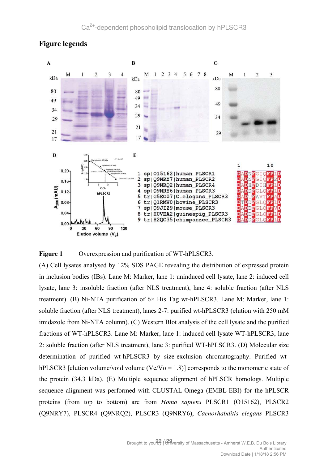

## **Figure legends**



(A) Cell lysates analysed by 12% SDS PAGE revealing the distribution of expressed protein in inclusion bodies (IBs). Lane M: Marker, lane 1: uninduced cell lysate, lane 2: induced cell lysate, lane 3: insoluble fraction (after NLS treatment), lane 4: soluble fraction (after NLS treatment). (B) Ni-NTA purification of 6× His Tag wt-hPLSCR3. Lane M: Marker, lane 1: soluble fraction (after NLS treatment), lanes 2-7: purified wt-hPLSCR3 (elution with 250 mM imidazole from Ni-NTA column). (C) Western Blot analysis of the cell lysate and the purified fractions of WT-hPLSCR3. Lane M: Marker, lane 1: induced cell lysate WT-hPLSCR3, lane 2: soluble fraction (after NLS treatment), lane 3: purified WT-hPLSCR3. (D) Molecular size determination of purified wt-hPLSCR3 by size-exclusion chromatography. Purified wthPLSCR3 [elution volume/void volume (Ve/Vo = 1.8)] corresponds to the monomeric state of the protein (34.3 kDa). (E) Multiple sequence alignment of hPLSCR homologs. Multiple sequence alignment was performed with CLUSTAL-Omega (EMBL-EBI) for the hPLSCR proteins (from top to bottom) are from *Homo sapiens* PLSCR1 (O15162), PLSCR2 (Q9NRY7), PLSCR4 (Q9NRQ2), PLSCR3 (Q9NRY6), *Caenorhabditis elegans* PLSCR3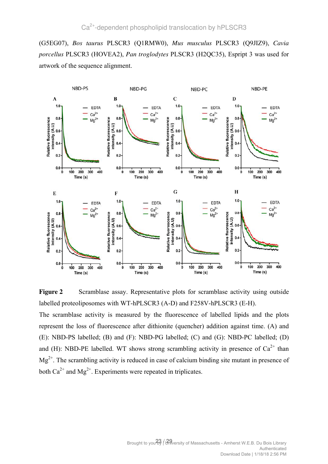(G5EG07), *Bos taurus* PLSCR3 (Q1RMW0), *Mus musculus* PLSCR3 (Q9JIZ9), *Cavia porcellus* PLSCR3 (HOVEA2), *Pan troglodytes* PLSCR3 (H2QC35), Espript 3 was used for artwork of the sequence alignment.



**Figure 2** Scramblase assay. Representative plots for scramblase activity using outside labelled proteoliposomes with WT-hPLSCR3 (A-D) and F258V-hPLSCR3 (E-H).

The scramblase activity is measured by the fluorescence of labelled lipids and the plots represent the loss of fluorescence after dithionite (quencher) addition against time. (A) and (E): NBD-PS labelled; (B) and (F): NBD-PG labelled; (C) and (G): NBD-PC labelled; (D) and (H): NBD-PE labelled. WT shows strong scrambling activity in presence of  $Ca^{2+}$  than  $Mg^{2+}$ . The scrambling activity is reduced in case of calcium binding site mutant in presence of both  $Ca^{2+}$  and  $Mg^{2+}$ . Experiments were repeated in triplicates.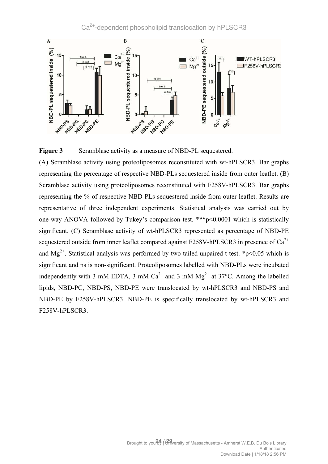Ca<sup>2+</sup>-dependent phospholipid translocation by hPLSCR3





(A) Scramblase activity using proteoliposomes reconstituted with wt-hPLSCR3. Bar graphs representing the percentage of respective NBD-PLs sequestered inside from outer leaflet. (B) Scramblase activity using proteoliposomes reconstituted with F258V-hPLSCR3. Bar graphs representing the % of respective NBD-PLs sequestered inside from outer leaflet. Results are representative of three independent experiments. Statistical analysis was carried out by one-way ANOVA followed by Tukey's comparison test. \*\*\*p<0.0001 which is statistically significant. (C) Scramblase activity of wt-hPLSCR3 represented as percentage of NBD-PE sequestered outside from inner leaflet compared against F258V-hPLSCR3 in presence of  $Ca^{2+}$ and  $Mg^{2+}$ . Statistical analysis was performed by two-tailed unpaired t-test. \*p<0.05 which is significant and ns is non-significant. Proteoliposomes labelled with NBD-PLs were incubated independently with 3 mM EDTA, 3 mM  $Ca^{2+}$  and 3 mM  $Mg^{2+}$  at 37°C. Among the labelled lipids, NBD-PC, NBD-PS, NBD-PE were translocated by wt-hPLSCR3 and NBD-PS and NBD-PE by F258V-hPLSCR3. NBD-PE is specifically translocated by wt-hPLSCR3 and F258V-hPLSCR3.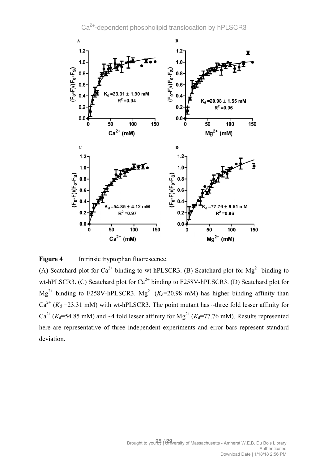Ca<sup>2+</sup>-dependent phospholipid translocation by hPLSCR3



**Figure 4** Intrinsic tryptophan fluorescence.

(A) Scatchard plot for  $Ca^{2+}$  binding to wt-hPLSCR3. (B) Scatchard plot for  $Mg^{2+}$  binding to wt-hPLSCR3. (C) Scatchard plot for  $Ca^{2+}$  binding to F258V-hPLSCR3. (D) Scatchard plot for  $Mg^{2+}$  binding to F258V-hPLSCR3.  $Mg^{2+}$  ( $K_d$ =20.98 mM) has higher binding affinity than  $Ca^{2+}$  ( $K_d$  =23.31 mM) with wt-hPLSCR3. The point mutant has ~three fold lesser affinity for  $Ca^{2+} (K_d = 54.85 \text{ mM})$  and ~4 fold lesser affinity for  $Mg^{2+} (K_d = 77.76 \text{ mM})$ . Results represented here are representative of three independent experiments and error bars represent standard deviation.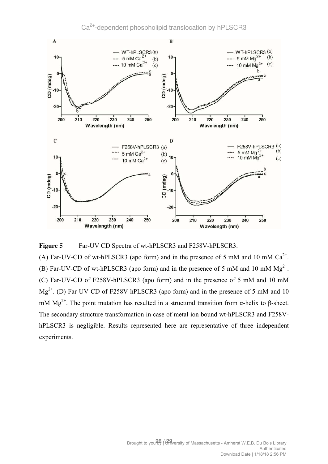





(A) Far-UV-CD of wt-hPLSCR3 (apo form) and in the presence of 5 mM and 10 mM  $Ca^{2+}$ . (B) Far-UV-CD of wt-hPLSCR3 (apo form) and in the presence of 5 mM and 10 mM  $Mg^{2+}$ . (C) Far-UV-CD of F258V-hPLSCR3 (apo form) and in the presence of 5 mM and 10 mM  $Mg^{2+}$ . (D) Far-UV-CD of F258V-hPLSCR3 (apo form) and in the presence of 5 mM and 10 mM  $Mg<sup>2+</sup>$ . The point mutation has resulted in a structural transition from α-helix to β-sheet. The secondary structure transformation in case of metal ion bound wt-hPLSCR3 and F258VhPLSCR3 is negligible. Results represented here are representative of three independent experiments.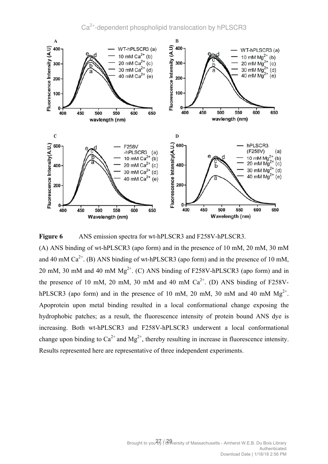

**Figure 6** ANS emission spectra for wt-hPLSCR3 and F258V-hPLSCR3.

(A) ANS binding of wt-hPLSCR3 (apo form) and in the presence of 10 mM, 20 mM, 30 mM and 40 mM  $Ca^{2+}$ . (B) ANS binding of wt-hPLSCR3 (apo form) and in the presence of 10 mM, 20 mM, 30 mM and 40 mM  $Mg^{2+}$ . (C) ANS binding of F258V-hPLSCR3 (apo form) and in the presence of 10 mM, 20 mM, 30 mM and 40 mM  $Ca<sup>2+</sup>$ . (D) ANS binding of F258VhPLSCR3 (apo form) and in the presence of 10 mM, 20 mM, 30 mM and 40 mM  $Mg^{2+}$ . Apoprotein upon metal binding resulted in a local conformational change exposing the hydrophobic patches; as a result, the fluorescence intensity of protein bound ANS dye is increasing. Both wt-hPLSCR3 and F258V-hPLSCR3 underwent a local conformational change upon binding to  $Ca^{2+}$  and  $Mg^{2+}$ , thereby resulting in increase in fluorescence intensity. Results represented here are representative of three independent experiments.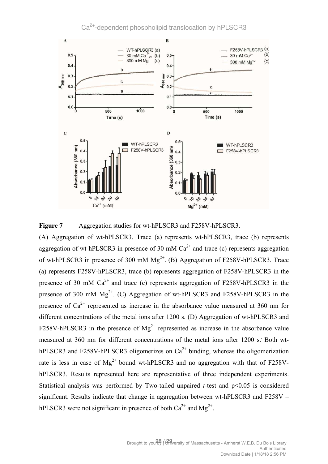Ca<sup>2+</sup>-dependent phospholipid translocation by hPLSCR3



**Figure 7** Aggregation studies for wt-hPLSCR3 and F258V-hPLSCR3.

(A) Aggregation of wt-hPLSCR3. Trace (a) represents wt-hPLSCR3, trace (b) represents aggregation of wt-hPLSCR3 in presence of 30 mM  $Ca<sup>2+</sup>$  and trace (c) represents aggregation of wt-hPLSCR3 in presence of 300 mM  $Mg^{2+}$ . (B) Aggregation of F258V-hPLSCR3. Trace (a) represents F258V-hPLSCR3, trace (b) represents aggregation of F258V-hPLSCR3 in the presence of 30 mM  $Ca^{2+}$  and trace (c) represents aggregation of F258V-hPLSCR3 in the presence of 300 mM  $Mg^{2+}$ . (C) Aggregation of wt-hPLSCR3 and F258V-hPLSCR3 in the presence of  $Ca^{2+}$  represented as increase in the absorbance value measured at 360 nm for different concentrations of the metal ions after 1200 s. (D) Aggregation of wt-hPLSCR3 and F258V-hPLSCR3 in the presence of  $Mg^{2+}$  represented as increase in the absorbance value measured at 360 nm for different concentrations of the metal ions after 1200 s. Both wthPLSCR3 and F258V-hPLSCR3 oligomerizes on  $Ca^{2+}$  binding, whereas the oligomerization rate is less in case of  $Mg^{2+}$  bound wt-hPLSCR3 and no aggregation with that of F258VhPLSCR3. Results represented here are representative of three independent experiments. Statistical analysis was performed by Two-tailed unpaired *t*-test and p<0.05 is considered significant. Results indicate that change in aggregation between wt-hPLSCR3 and F258V – hPLSCR3 were not significant in presence of both  $Ca^{2+}$  and  $Mg^{2+}$ .